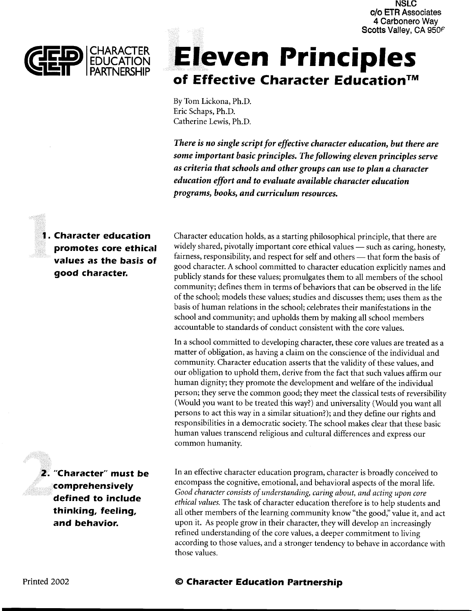NSLC c/o ETR Associates 4 Carbonero Way Scotts Valley, CA 950f



## **Eleven Principles of Effective Character EducationTM**

By Tom Lickona, Ph.D. Eric Schaps, Ph.D. Catherine Lewis, Ph.D.

*There is no single script for effective character education, but there are some important basic principles. The following eleven principles serve as criteria that schools and other groups can use to plan a character education effort and to evaluate available character education programs, books, and curriculum resources.* 



1 . Character education promotes core ethical values as the basis of good character.

Character education holds, as a starting philosophical principle, that there are widely shared, pivotally important core ethical values - such as caring, honesty, fairness, responsibility, and respect for self and others - that form the basis of good character. A school committed to character education explicitly names and publicly stands for these values; promulgates them to all members of the school community; defines them in terms of behaviors that can be observed in the life of the school; models these values; studies and discusses them; uses them as the basis of human relations in the school; celebrates their manifestations in the school and community; and upholds them by making all school members accountable to standards of conduct consistent with the core values.

In a school committed to developing character, these core values are treated as <sup>a</sup> matter of obligation, as having a claim on the conscience of the individual and community. Character education asserts that the validity of these values, and our obligation to uphold them, derive from the fact that such values affirm our human dignity; they promote the development and welfare of the individual person; they serve the common good; they meet the classical tests of reversibility (Would you want to be treated this way?) and universality (Would you want all persons to act this way in a similar situation?); and they define our rights and responsibilities in a democratic society. The school makes clear that these basic human values transcend religious and cultural differences and express our common humanity.

In an effective character education program, character is broadly conceived to encompass the cognitive, emotional, and behavioral aspects of the moral life. *Good character consists of understanding, caring about, and acting upon core ethical values.* The task of character education therefore is to help students and all other members of the learning community know "the good;' value it, and act upon it. As people grow in their character, they will develop an increasingly refined understanding of the core values, a deeper commitment to living according to those values, and a stronger tendency to behave in accordance with those values.

## 2. "Character" must be comprehensively defined to include thinking, feeling, and behavior.

## © Character Education Partnership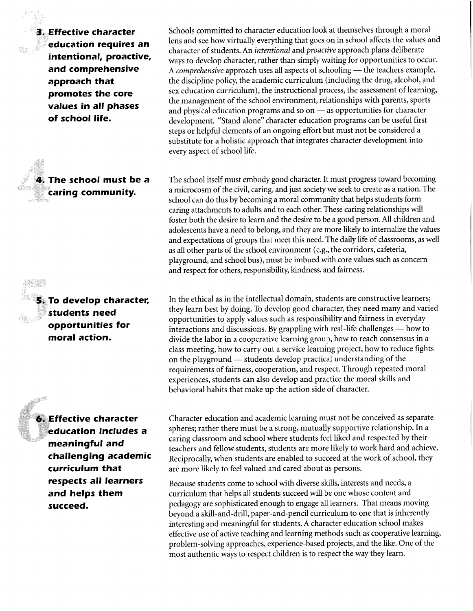**3. Effective character education requires an intentional, proactive, and comprehensive approach that promotes the core values in all phases of school life.** 

**4. The school must be a caring community.** 

**5. To develop character, students need opportunities for moral action.** 

**6,:, Effective character education includes a meaningful and challenging academic curriculum that respects all learners and helps them succeed.** 

Schools committed to character education look at themselves through a moral lens and see how virtually everything that goes on in school affects the values and character of students. An *intentional* and *proactive* approach plans deliberate ways to develop character, rather than simply waiting for opportunities to occur. A *comprehensive* approach uses all aspects of schooling - the teachers example, the discipline policy, the academic curriculum (including the drug, alcohol, and sex education curriculum), the instructional process, the assessment of learning, the management of the school environment, relationships with parents, sports and physical education programs and so on  $-$  as opportunities for character development. "Stand alone" character education programs can be useful first steps or helpful elements of an ongoing effort but must not be considered a substitute for a holistic approach that integrates character development into every aspect of school life.

The school itself must embody good character. It must progress toward becoming a microcosm of the civil, caring, and just society we seek to create as a nation. The school can do this by becoming a moral community that helps students form caring attachments to adults and to each other. These caring relationships will foster both the desire to learn and the desire to be a good person. All children and adolescents have a need to belong, and they are more likely to internalize the values and expectations of groups that meet this need. The daily life of classrooms, as well as all other parts of the school environment (e.g., the corridors, cafeteria, <sup>p</sup>layground, and school bus), must be imbued with core values such as concern and respect for others, responsibility, kindness, and fairness.

In the ethical as in the intellectual domain, students are constructive learners; they learn best by doing. To develop good character, they need many and varied opportunities to apply values such as responsibility and fairness in everyday interactions and discussions. By grappling with real-life challenges — how to divide the labor in a cooperative learning group, how to reach consensus in a class meeting, how to carry out a service learning project, how to reduce fights on the playground - students develop practical understanding of the requirements of fairness, cooperation, and respect. Through repeated moral experiences, students can also develop and practice the moral skills and behavioral habits that make up the action side of character.

Character education and academic learning must not be conceived as separate spheres; rather there must be a strong, mutually supportive relationship. In a caring classroom and school where students feel liked and respected by their teachers and fellow students, students are more likely to work hard and achieve. Reciprocally, when students are enabled to succeed at the work of school, they are more likely to feel valued and cared about as persons.

Because students come to school with diverse skills, interests and needs, a curriculum that helps all students succeed will be one whose content and pedagogy are sophisticated enough to engage all learners. That means moving beyond a skill-and-drill, paper-and-pencil curriculum to one that is inherently interesting and meaningful for students. A character education school makes effective use of active teaching and learning methods such as cooperative learning, problem-solving approaches, experience-based projects, and the like. One of the most authentic ways to respect children is to respect the way they learn.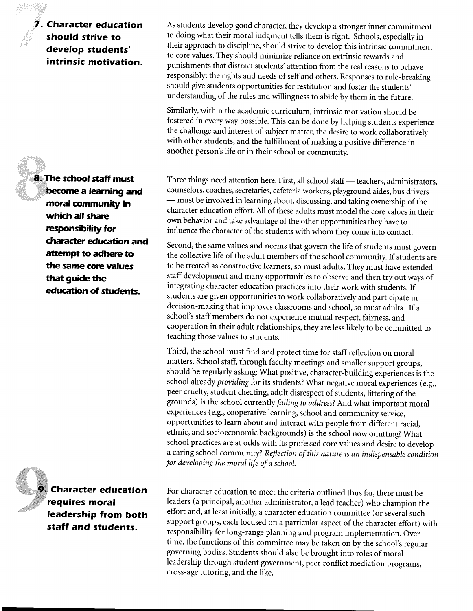**7. Character education should strive to develop students' intrinsic motivation.** 

**8.1he school staff must become a learning and moral community in which all share responsibility for character education and attempt to adhere to the same core values that guide the education of students.** 

**Character education requires moral leadership from both staff and students.** 

As students develop good character, they develop a stronger inner commitment to doing what their moral judgment tells them is right. Schools, especially in their approach to discipline, should strive to develop this intrinsic commitment to core values. They should minimize reliance on extrinsic rewards and punishments that distract students' attention from the real reasons to behave responsibly: the rights and needs of self and others. Responses to rule-breaking should give students opportunities for restitution and foster the students' understanding of the rules and willingness to abide by them in the future.

Similarly, within the academic curriculum, intrinsic motivation should be fostered in every way possible. This can be done by helping students experience the challenge and interest of subject matter, the desire to work collaboratively with other students, and the fulfillment of making a positive difference in another person's life or in their school or community.

Three things need attention here. First, all school staff - teachers, administrators, counselors, coaches, secretaries, cafeteria workers, playground aides, bus drivers - must be involved in learning about, discussing, and taking ownership of the character education effort. All of these adults must model the core values in their own behavior and take advantage of the other opportunities they have to influence the character of the students with whom they come into contact.

Second, the same values and norms that govern the life of students must govern the collective life of the adult members of the school community. If students are to be treated as constructive learners, so must adults. They must have extended staff development and many opportunities to observe and then try out ways of integrating character education practices into their work with students. If students are given opportunities to work collaboratively and participate in decision-making that improves classrooms and school, so must adults. If <sup>a</sup> school's staff members do not experience mutual respect, fairness, and cooperation in their adult relationships, they are less likely to be committed to teaching those values to students.

Third, the school must find and protect time for staff reflection on moral matters. School staff, through faculty meetings and smaller support groups, should be regularly asking: What positive, character-building experiences is the school already *providing* for its students? What negative moral experiences (e.g., peer cruelty, student cheating, adult disrespect of students, littering of the grounds) is the school currently *failing to address?* And what important moral experiences (e.g., cooperative learning, school and community service, opportunities to learn about and interact with people from different racial, ethnic, and socioeconomic backgrounds) is the school now omitting? What school practices are at odds with its professed core values and desire to develop a caring school community? *Reflection of this nature is an indispensable condition for developing the moral life of a school.* 

For character education to meet the criteria outlined thus far, there must be leaders (a principal, another administrator, a lead teacher) who champion the effort and, at least initially, a character education committee (or several such support groups, each focused on a particular aspect of the character effort) with responsibility for long-range planning and program implementation. Over time, the functions of this committee may be taken on by the school's regular governing bodies. Students should also be brought into roles of moral leadership through student government, peer conflict mediation programs, cross-age tutoring, and the like.